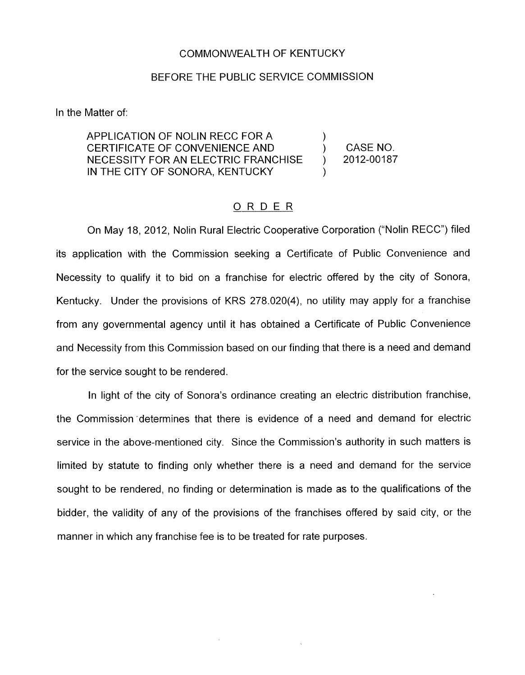## COMMONWEALTH OF KENTUCKY

## BEFORE THE PUBLIC SERVICE COMMISSION

In the Matter of:

APPLICATION OF NOLIN RECC FOR A CERTIFICATE OF CONVENIENCE AND ) CASENO. NECESSITY FOR AN ELECTRIC FRANCHISE ) 2012-00187 IN THE CITY OF SONORA, KENTUCKY )

)

## ORDER

On May 18, 2012, Nolin Rural Electric Cooperative Corporation ("Nolin RECC") filed its application with the Commission seeking a Certificate of Public Convenience and Necessity to qualify it to bid on a franchise for electric offered by the city of Sonora, Kentucky. Under the provisions of KRS 278.020(4), no utility may apply for a franchise from any governmental agency until it has obtained a Certificate of Public Convenience and Necessity from this Commission based on our finding that there is a need and demand for the service sought to be rendered.

In light of the city of Sonora's ordinance creating an electric distribution franchise, the Commission "determines that there is evidence of a need and demand for electric service in the above-mentioned city. Since the Commission's authority in such matters is limited by statute to finding only whether there is a need and demand for the service sought to be rendered, no finding or determination is made as to the qualifications of the bidder, the validity of any of the provisions of the franchises offered by said city, or the manner in which any franchise fee is to be treated for rate purposes.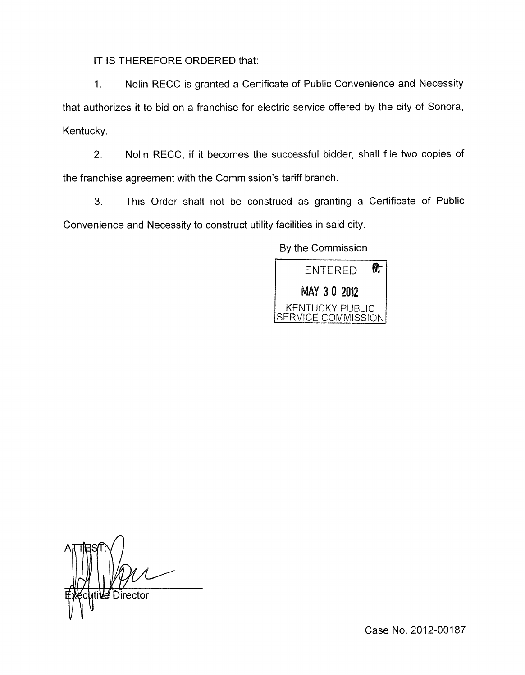IT IS THEREFORE ORDERED that:

1. Nolin RECC is granted a Certificate of Public Convenience and Necessity that authorizes it to bid on a franchise for electric service offered by the city of Sonora, Kentucky.

2. Nolin RECC, if it becomes the successful bidder, shall file two copies of the franchise agreement with the Commission's tariff branch.

**3.** This Order shall not be construed as granting a Certificate of Public Convenience and Necessity to construct utility facilities in said city.

By the Commission



*d* Director

Case No. 2012-00187